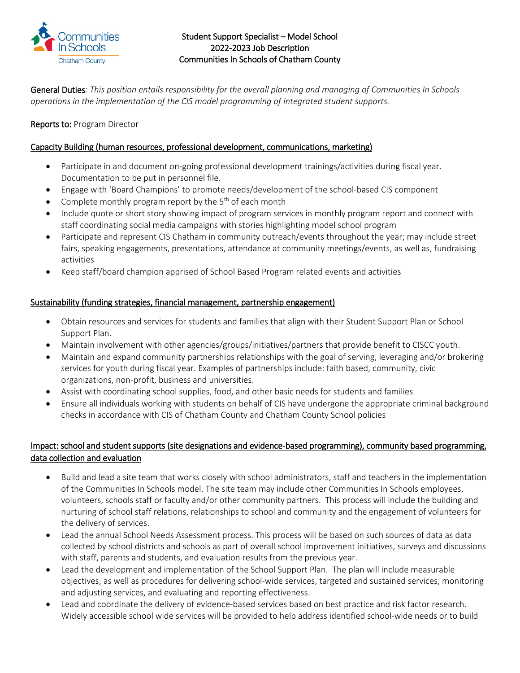

## Student Support Specialist – Model School 2022-2023 Job Description Communities In Schools of Chatham County

General Duties: This position entails responsibility for the overall planning and managing of Communities In Schools *operations in the implementation of the CIS model programming of integrated student supports.* 

# Reports to: Program Director

## Capacity Building (human resources, professional development, communications, marketing)

- Participate in and document on-going professional development trainings/activities during fiscal year. Documentation to be put in personnel file.
- Engage with 'Board Champions' to promote needs/development of the school-based CIS component
- Complete monthly program report by the  $5<sup>th</sup>$  of each month
- Include quote or short story showing impact of program services in monthly program report and connect with staff coordinating social media campaigns with stories highlighting model school program
- Participate and represent CIS Chatham in community outreach/events throughout the year; may include street fairs, speaking engagements, presentations, attendance at community meetings/events, as well as, fundraising activities
- Keep staff/board champion apprised of School Based Program related events and activities

### Sustainability (funding strategies, financial management, partnership engagement)

- Obtain resources and services for students and families that align with their Student Support Plan or School Support Plan.
- Maintain involvement with other agencies/groups/initiatives/partners that provide benefit to CISCC youth.
- Maintain and expand community partnerships relationships with the goal of serving, leveraging and/or brokering services for youth during fiscal year. Examples of partnerships include: faith based, community, civic organizations, non-profit, business and universities.
- Assist with coordinating school supplies, food, and other basic needs for students and families
- Ensure all individuals working with students on behalf of CIS have undergone the appropriate criminal background checks in accordance with CIS of Chatham County and Chatham County School policies

# Impact: school and student supports (site designations and evidence-based programming), community based programming, data collection and evaluation

- Build and lead a site team that works closely with school administrators, staff and teachers in the implementation of the Communities In Schools model. The site team may include other Communities In Schools employees, volunteers, schools staff or faculty and/or other community partners. This process will include the building and nurturing of school staff relations, relationships to school and community and the engagement of volunteers for the delivery of services.
- Lead the annual School Needs Assessment process. This process will be based on such sources of data as data collected by school districts and schools as part of overall school improvement initiatives, surveys and discussions with staff, parents and students, and evaluation results from the previous year.
- Lead the development and implementation of the School Support Plan. The plan will include measurable objectives, as well as procedures for delivering school-wide services, targeted and sustained services, monitoring and adjusting services, and evaluating and reporting effectiveness.
- Lead and coordinate the delivery of evidence-based services based on best practice and risk factor research. Widely accessible school wide services will be provided to help address identified school-wide needs or to build